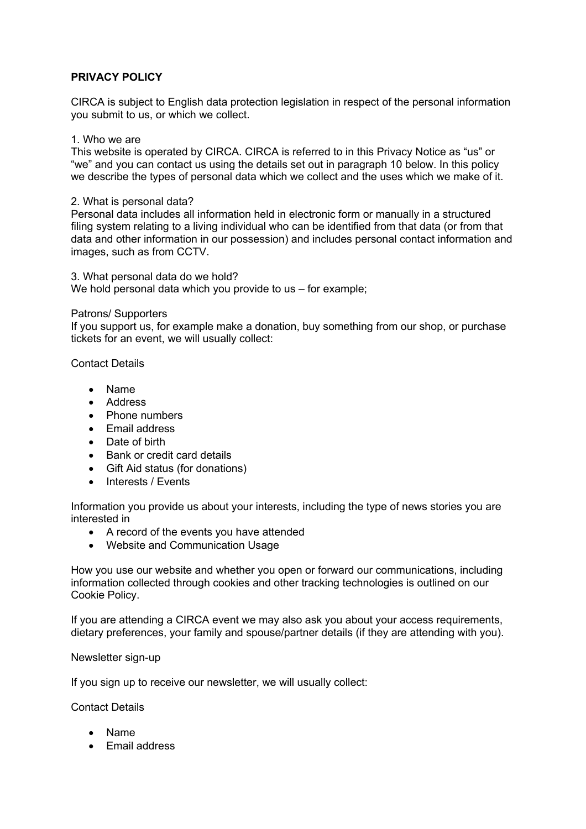# **PRIVACY POLICY**

CIRCA is subject to English data protection legislation in respect of the personal information you submit to us, or which we collect.

# 1. Who we are

This website is operated by CIRCA. CIRCA is referred to in this Privacy Notice as "us" or "we" and you can contact us using the details set out in paragraph 10 below. In this policy we describe the types of personal data which we collect and the uses which we make of it.

### 2. What is personal data?

Personal data includes all information held in electronic form or manually in a structured filing system relating to a living individual who can be identified from that data (or from that data and other information in our possession) and includes personal contact information and images, such as from CCTV.

3. What personal data do we hold? We hold personal data which you provide to us – for example;

# Patrons/ Supporters

If you support us, for example make a donation, buy something from our shop, or purchase tickets for an event, we will usually collect:

Contact Details

- Name
- Address
- Phone numbers
- Email address
- Date of birth
- Bank or credit card details
- Gift Aid status (for donations)
- Interests / Events

Information you provide us about your interests, including the type of news stories you are interested in

- A record of the events you have attended
- Website and Communication Usage

How you use our website and whether you open or forward our communications, including information collected through cookies and other tracking technologies is outlined on our Cookie Policy.

If you are attending a CIRCA event we may also ask you about your access requirements, dietary preferences, your family and spouse/partner details (if they are attending with you).

### Newsletter sign-up

If you sign up to receive our newsletter, we will usually collect:

Contact Details

- Name
- Email address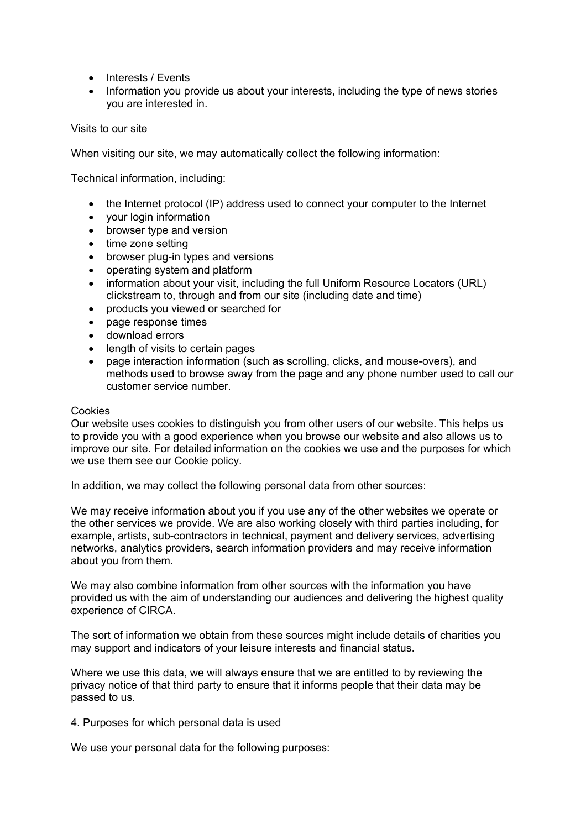- Interests / Events
- Information you provide us about your interests, including the type of news stories you are interested in.

Visits to our site

When visiting our site, we may automatically collect the following information:

Technical information, including:

- the Internet protocol (IP) address used to connect your computer to the Internet
- your login information
- browser type and version
- time zone setting
- browser plug-in types and versions
- operating system and platform
- information about your visit, including the full Uniform Resource Locators (URL) clickstream to, through and from our site (including date and time)
- products you viewed or searched for
- page response times
- download errors
- length of visits to certain pages
- page interaction information (such as scrolling, clicks, and mouse-overs), and methods used to browse away from the page and any phone number used to call our customer service number.

### **Cookies**

Our website uses cookies to distinguish you from other users of our website. This helps us to provide you with a good experience when you browse our website and also allows us to improve our site. For detailed information on the cookies we use and the purposes for which we use them see our Cookie policy.

In addition, we may collect the following personal data from other sources:

We may receive information about you if you use any of the other websites we operate or the other services we provide. We are also working closely with third parties including, for example, artists, sub-contractors in technical, payment and delivery services, advertising networks, analytics providers, search information providers and may receive information about you from them.

We may also combine information from other sources with the information you have provided us with the aim of understanding our audiences and delivering the highest quality experience of CIRCA.

The sort of information we obtain from these sources might include details of charities you may support and indicators of your leisure interests and financial status.

Where we use this data, we will always ensure that we are entitled to by reviewing the privacy notice of that third party to ensure that it informs people that their data may be passed to us.

4. Purposes for which personal data is used

We use your personal data for the following purposes: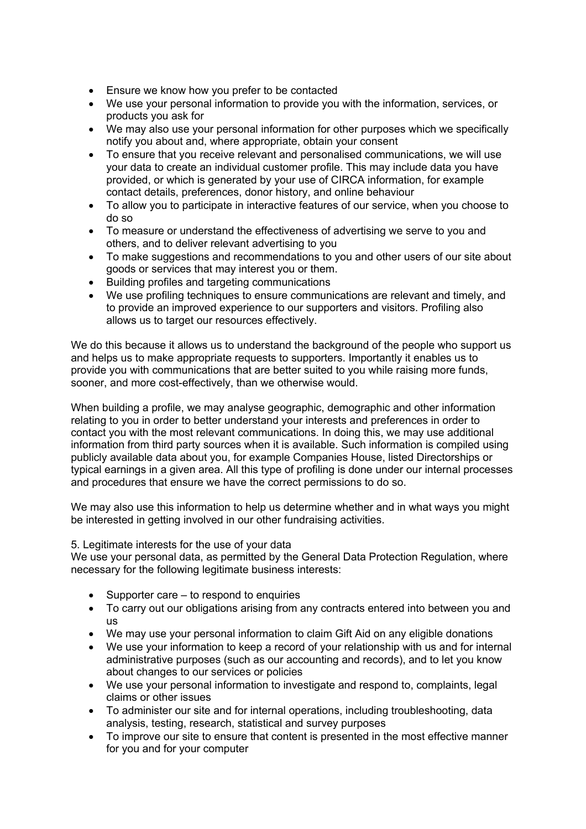- Ensure we know how you prefer to be contacted
- We use your personal information to provide you with the information, services, or products you ask for
- We may also use your personal information for other purposes which we specifically notify you about and, where appropriate, obtain your consent
- To ensure that you receive relevant and personalised communications, we will use your data to create an individual customer profile. This may include data you have provided, or which is generated by your use of CIRCA information, for example contact details, preferences, donor history, and online behaviour
- To allow you to participate in interactive features of our service, when you choose to do so
- To measure or understand the effectiveness of advertising we serve to you and others, and to deliver relevant advertising to you
- To make suggestions and recommendations to you and other users of our site about goods or services that may interest you or them.
- Building profiles and targeting communications
- We use profiling techniques to ensure communications are relevant and timely, and to provide an improved experience to our supporters and visitors. Profiling also allows us to target our resources effectively.

We do this because it allows us to understand the background of the people who support us and helps us to make appropriate requests to supporters. Importantly it enables us to provide you with communications that are better suited to you while raising more funds, sooner, and more cost-effectively, than we otherwise would.

When building a profile, we may analyse geographic, demographic and other information relating to you in order to better understand your interests and preferences in order to contact you with the most relevant communications. In doing this, we may use additional information from third party sources when it is available. Such information is compiled using publicly available data about you, for example Companies House, listed Directorships or typical earnings in a given area. All this type of profiling is done under our internal processes and procedures that ensure we have the correct permissions to do so.

We may also use this information to help us determine whether and in what ways you might be interested in getting involved in our other fundraising activities.

5. Legitimate interests for the use of your data

We use your personal data, as permitted by the General Data Protection Regulation, where necessary for the following legitimate business interests:

- Supporter care to respond to enquiries
- To carry out our obligations arising from any contracts entered into between you and us
- We may use your personal information to claim Gift Aid on any eligible donations
- We use your information to keep a record of your relationship with us and for internal administrative purposes (such as our accounting and records), and to let you know about changes to our services or policies
- We use your personal information to investigate and respond to, complaints, legal claims or other issues
- To administer our site and for internal operations, including troubleshooting, data analysis, testing, research, statistical and survey purposes
- To improve our site to ensure that content is presented in the most effective manner for you and for your computer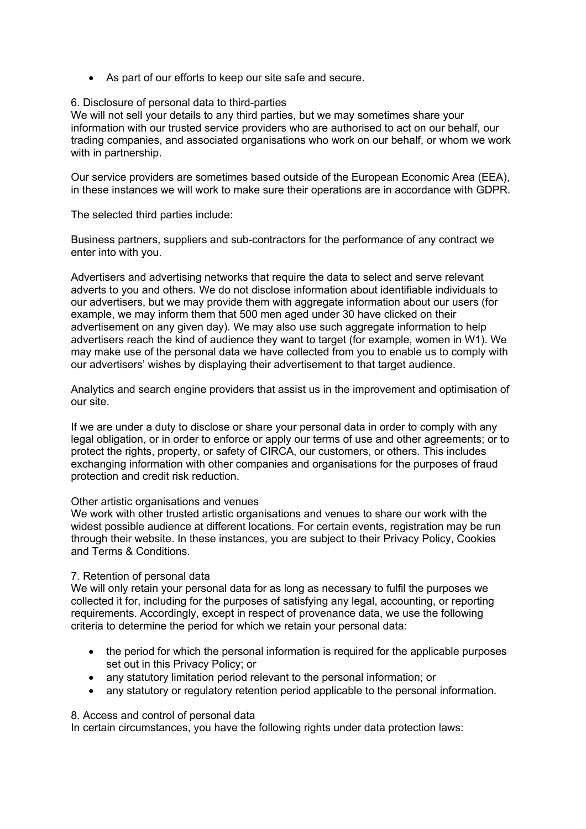• As part of our efforts to keep our site safe and secure.

# 6. Disclosure of personal data to third-parties

We will not sell your details to any third parties, but we may sometimes share your information with our trusted service providers who are authorised to act on our behalf, our trading companies, and associated organisations who work on our behalf, or whom we work with in partnership.

Our service providers are sometimes based outside of the European Economic Area (EEA), in these instances we will work to make sure their operations are in accordance with GDPR.

The selected third parties include:

Business partners, suppliers and sub-contractors for the performance of any contract we enter into with you.

Advertisers and advertising networks that require the data to select and serve relevant adverts to you and others. We do not disclose information about identifiable individuals to our advertisers, but we may provide them with aggregate information about our users (for example, we may inform them that 500 men aged under 30 have clicked on their advertisement on any given day). We may also use such aggregate information to help advertisers reach the kind of audience they want to target (for example, women in W1). We may make use of the personal data we have collected from you to enable us to comply with our advertisers' wishes by displaying their advertisement to that target audience.

Analytics and search engine providers that assist us in the improvement and optimisation of our site.

If we are under a duty to disclose or share your personal data in order to comply with any legal obligation, or in order to enforce or apply our terms of use and other agreements; or to protect the rights, property, or safety of CIRCA, our customers, or others. This includes exchanging information with other companies and organisations for the purposes of fraud protection and credit risk reduction.

### Other artistic organisations and venues

We work with other trusted artistic organisations and venues to share our work with the widest possible audience at different locations. For certain events, registration may be run through their website. In these instances, you are subject to their Privacy Policy, Cookies and Terms & Conditions.

### 7. Retention of personal data

We will only retain your personal data for as long as necessary to fulfil the purposes we collected it for, including for the purposes of satisfying any legal, accounting, or reporting requirements. Accordingly, except in respect of provenance data, we use the following criteria to determine the period for which we retain your personal data:

- the period for which the personal information is required for the applicable purposes set out in this Privacy Policy; or
- any statutory limitation period relevant to the personal information; or
- any statutory or regulatory retention period applicable to the personal information.

### 8. Access and control of personal data

In certain circumstances, you have the following rights under data protection laws: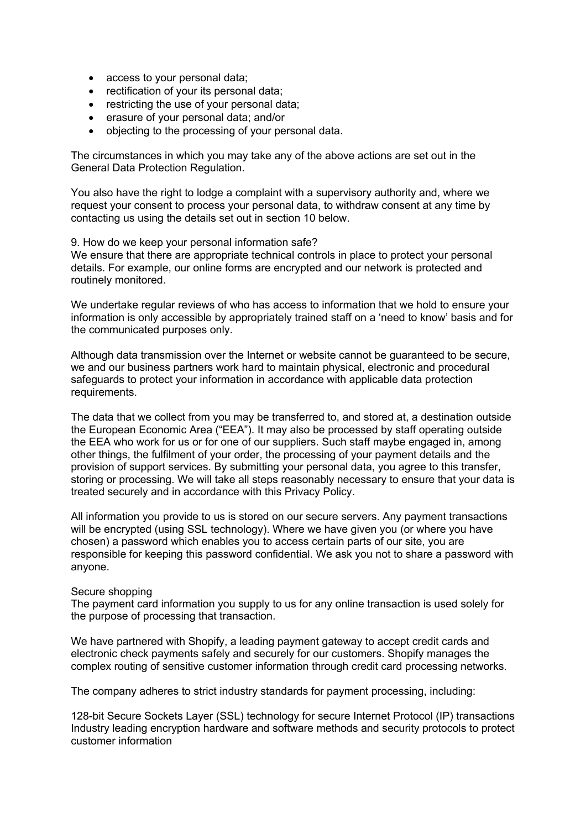- access to your personal data;
- rectification of your its personal data;
- restricting the use of your personal data:
- erasure of your personal data; and/or
- objecting to the processing of your personal data.

The circumstances in which you may take any of the above actions are set out in the General Data Protection Regulation.

You also have the right to lodge a complaint with a supervisory authority and, where we request your consent to process your personal data, to withdraw consent at any time by contacting us using the details set out in section 10 below.

9. How do we keep your personal information safe? We ensure that there are appropriate technical controls in place to protect your personal details. For example, our online forms are encrypted and our network is protected and routinely monitored.

We undertake regular reviews of who has access to information that we hold to ensure your information is only accessible by appropriately trained staff on a 'need to know' basis and for the communicated purposes only.

Although data transmission over the Internet or website cannot be guaranteed to be secure, we and our business partners work hard to maintain physical, electronic and procedural safeguards to protect your information in accordance with applicable data protection requirements.

The data that we collect from you may be transferred to, and stored at, a destination outside the European Economic Area ("EEA"). It may also be processed by staff operating outside the EEA who work for us or for one of our suppliers. Such staff maybe engaged in, among other things, the fulfilment of your order, the processing of your payment details and the provision of support services. By submitting your personal data, you agree to this transfer, storing or processing. We will take all steps reasonably necessary to ensure that your data is treated securely and in accordance with this Privacy Policy.

All information you provide to us is stored on our secure servers. Any payment transactions will be encrypted (using SSL technology). Where we have given you (or where you have chosen) a password which enables you to access certain parts of our site, you are responsible for keeping this password confidential. We ask you not to share a password with anyone.

### Secure shopping

The payment card information you supply to us for any online transaction is used solely for the purpose of processing that transaction.

We have partnered with Shopify, a leading payment gateway to accept credit cards and electronic check payments safely and securely for our customers. Shopify manages the complex routing of sensitive customer information through credit card processing networks.

The company adheres to strict industry standards for payment processing, including:

128-bit Secure Sockets Layer (SSL) technology for secure Internet Protocol (IP) transactions Industry leading encryption hardware and software methods and security protocols to protect customer information